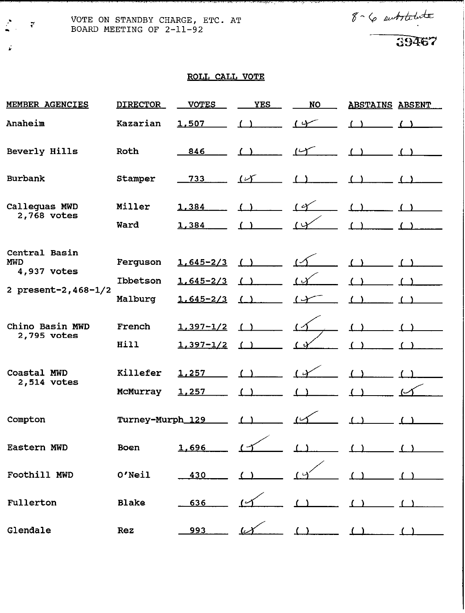VOTE ON STANDBY CHARGE, ETC. AT BOARD MEETING OF 2-11-92

 $8 - 6$  entracture

## ROLL CALL VOTE

| <b>MEMBER AGENCIES</b>         | <b>DIRECTOR</b>  | <b>VOTES</b>   | <b>YES</b>                                                     | <b>NO</b>        | <b>ABSTAINS ABSENT</b>                        |  |
|--------------------------------|------------------|----------------|----------------------------------------------------------------|------------------|-----------------------------------------------|--|
| Anaheim                        | Kazarian         | 1,507          | ( )                                                            | 14               |                                               |  |
| Beverly Hills                  | Roth             | 846            | $\left(\begin{array}{ccc} 1 & 1 \\ 1 & 1 \end{array}\right)$   | 14               | ( )                                           |  |
| <b>Burbank</b>                 | Stamper          | 733            | U                                                              | (1)              |                                               |  |
| Calleguas MWD<br>2,768 votes   | Miller           | 1,384          | $\left( \begin{array}{ccc} 1 & 1 \\ 1 & 1 \end{array} \right)$ | 14               | $\left(\begin{array}{ccc} \end{array}\right)$ |  |
|                                | Ward             | 1,384          |                                                                | $\omega$         |                                               |  |
| Central Basin<br><b>MWD</b>    | Ferguson         | $1,645-2/3$ () |                                                                |                  | (1)                                           |  |
| 4,937 votes                    | Ibbetson         | $1.645 - 2/3$  | (1)                                                            | $\iota$          |                                               |  |
| 2 present-2, 468-1/2           | Malburg          | $1,645 - 2/3$  | (1)                                                            | $\overline{(\ }$ |                                               |  |
| Chino Basin MWD<br>2,795 votes | French           | $1,397-1/2$    |                                                                |                  |                                               |  |
|                                | Hill             | $1,397-1/2$    |                                                                | $\mathcal{Y}$    |                                               |  |
| Coastal MWD<br>2,514 votes     | Killefer         | 1,257          | (                                                              | $\overline{1}$   |                                               |  |
|                                | McMurray         | 1,257          |                                                                |                  |                                               |  |
| Compton                        | Turney-Murph_129 |                |                                                                |                  |                                               |  |
| Eastern MWD                    | Boen             | 1,696          |                                                                |                  |                                               |  |
| Foothill MWD                   | 0'Neil           | 430            |                                                                |                  |                                               |  |
| Fullerton                      | <b>Blake</b>     | 636            |                                                                |                  |                                               |  |
| Glendale                       | <b>Rez</b>       | 993            |                                                                |                  |                                               |  |

 $\sum_{i=1}^{\infty}$  $\overline{\mathbf{r}}$ 

 $\vec{F}$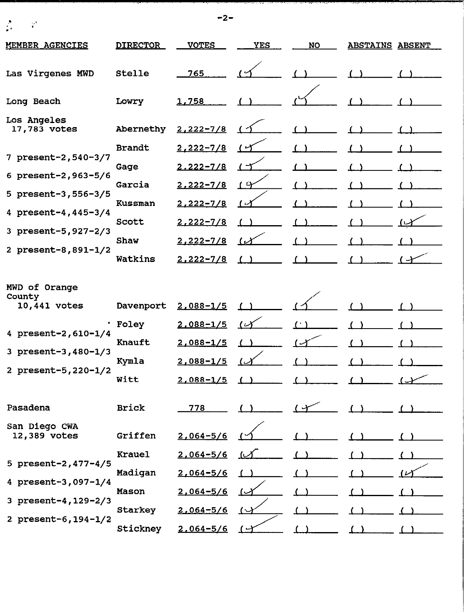$\frac{\partial}{\partial t} \left( \frac{\partial}{\partial t} \right) = \frac{\partial}{\partial t} \left( \frac{\partial}{\partial t} \right)$ 

| <b>MEMBER AGENCIES</b>                  | <b>DIRECTOR</b> | <b>VOTES</b>  | <b>YES</b>                  | <b>NO</b> | <b>ABSTAINS</b> | <b>ABSENT</b> |
|-----------------------------------------|-----------------|---------------|-----------------------------|-----------|-----------------|---------------|
| Las Virgenes MWD                        | Stelle          | 765           |                             |           |                 |               |
| Long Beach                              | Lowry           | 1,758         |                             |           |                 |               |
| Los Angeles<br>17,783 votes             | Abernethy       | $2,222 - 7/8$ |                             |           |                 |               |
|                                         | <b>Brandt</b>   | $2,222 - 7/8$ |                             |           |                 |               |
| 7 present-2,540-3/7                     | Gage            | $2,222 - 7/8$ |                             |           |                 |               |
| 6 present-2,963-5/6                     | Garcia          | $2,222 - 7/8$ | $\mathbf{1}^{\mathbf{0}}$   |           |                 |               |
| 5 $present-3, 556-3/5$                  | Kussman         | $2,222 - 7/8$ | $\mathcal{L}_{\mathcal{A}}$ |           |                 |               |
| 4 present-4, 445-3/4                    | Scott           | $2,222 - 7/8$ |                             |           |                 |               |
| 3 present-5, 927-2/3                    | Shaw            | $2,222 - 7/8$ |                             |           |                 |               |
| 2 present-8,891-1/2                     | Watkins         | $2,222 - 7/8$ |                             |           |                 |               |
| MWD of Orange<br>County<br>10,441 votes | Davenport       | $2,088 - 1/5$ |                             |           |                 |               |
| 4 $present-2, 610-1/4$                  | Foley           | $2,088 - 1/5$ | $\iota$                     |           |                 |               |
| 3 present-3,480-1/3                     | <b>Knauft</b>   | $2,088 - 1/5$ |                             |           |                 |               |
| 2 present-5, 220-1/2                    | Kymla           | $2,088 - 1/5$ |                             |           |                 |               |
|                                         | Witt            | $2,088 - 1/5$ |                             |           |                 |               |
| Pasadena                                | <b>Brick</b>    | 778           |                             |           |                 |               |
| San Diego CWA<br>12,389 votes           | Griffen         | $2,064 - 5/6$ |                             |           |                 |               |
|                                         | Krauel          | $2,064 - 5/6$ | ے)۔                         |           |                 |               |
| 5 present-2, 477-4/5                    | Madigan         | $2,064 - 5/6$ |                             |           |                 |               |
| 4 present-3,097-1/4                     | Mason           | $2,064 - 5/6$ |                             |           |                 |               |
| 3 present-4, 129-2/3                    | Starkey         | $2,064 - 5/6$ | $\sim$                      |           |                 |               |
| 2 present-6, 194-1/2                    | Stickney        | $2,064 - 5/6$ |                             |           |                 |               |

 $-2-$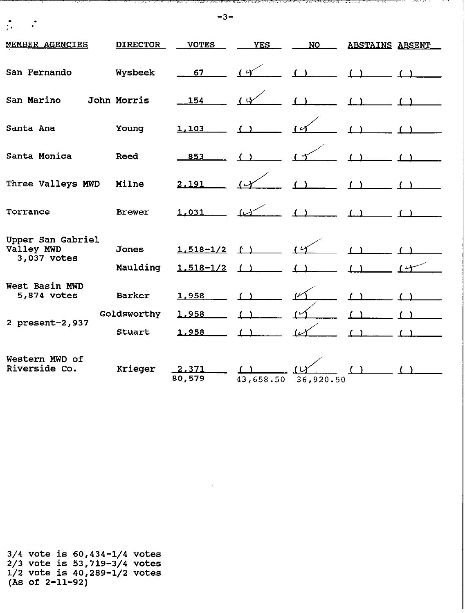| e            | ۰ |
|--------------|---|
| ×<br>٠<br>×, | ٠ |

| MEMBER AGENCIES                 | <b>DIRECTOR</b> | <b>VOTES</b>    | <b>YES</b> | <b>NO</b>                 | <b>ABSTAINS ABSENT</b> |     |
|---------------------------------|-----------------|-----------------|------------|---------------------------|------------------------|-----|
| San Fernando                    | Wysbeek         | 67              | $\alpha$   | (1)                       | (1)                    |     |
| San Marino                      | John Morris     | 154             | $\mu$      |                           |                        |     |
| Santa Ana                       | Young           | 1,103           |            |                           |                        |     |
| Santa Monica                    | Reed            | 853             |            |                           |                        |     |
| Three Valleys MWD               | Milne           | 2,191           |            |                           |                        |     |
| Torrance                        | <b>Brewer</b>   | 1,031           |            | $\mathcal{L}(\mathbf{Y})$ |                        |     |
| Upper San Gabriel               |                 |                 |            |                           |                        |     |
| Valley MWD<br>3,037 votes       | Jones           | $1,518-1/2$     |            | 1 <sup>K</sup>            |                        |     |
|                                 | Maulding        | $1,518-1/2$     |            |                           |                        | (4) |
| West Basin MWD<br>5,874 votes   | <b>Barker</b>   | 1,958           |            | $\mu$                     |                        |     |
|                                 | Goldsworthy     | 1,958           |            | $\sim$                    |                        |     |
| 2 present-2,937                 | Stuart          | 1,958           |            | $\omega$                  |                        |     |
| Western MWD of<br>Riverside Co. | Krieger         | 2,371<br>80,579 | 43,658.50  | 36,920.50                 |                        |     |

3/4 vote is  $60,434-1/4$  votes<br>2/3 vote is 53,719-3/4 votes<br>1/2 vote is 40,289-1/2 votes<br>(As of 2-11-92)

- タルコンクセッシュアン スポーツ カー・ケー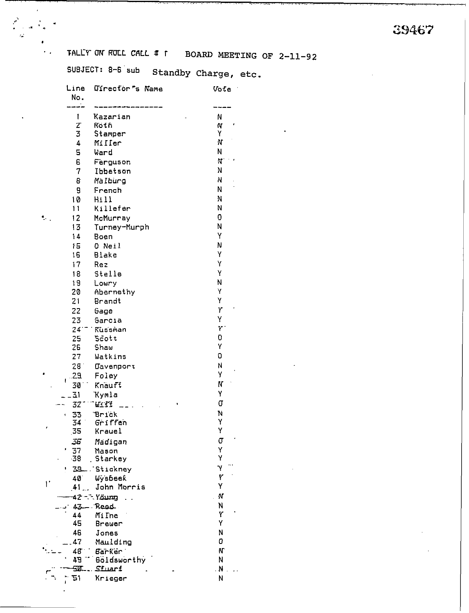TALLY ON ROLL CALL  $\overline{\ast}$  i BOARD MEETING OF 2-11-92

SUBJECT: 8-6 sub Standby Charge, etc.

 $\mathcal{L}$ 

 $\ddot{\phantom{0}}$  .

|    | Line                | Uirector's Name        | Vote             |
|----|---------------------|------------------------|------------------|
|    | No.                 |                        |                  |
|    |                     |                        |                  |
|    | t<br>Z              | Kazarian<br>Roth       | N<br>N           |
|    | 3                   | Stamper                | Y                |
|    | 4                   | Miller                 | N                |
|    | $\overline{5}$      | Ward                   | И                |
|    | 6                   | Ferguson               | W.               |
|    | 7                   | Ibbetson               | N                |
|    | 8                   | MaIburg                | N                |
|    | 9                   | French                 | Ν                |
|    | 10                  | Hill                   | N                |
|    | $\mathbf{1}$        | Killefer               | N                |
|    | 12                  | McMurray               | 0                |
|    | 13                  | Turney-Murph           | N                |
|    | 14                  | Boen                   | Υ                |
|    | 15                  | O Neil                 | N                |
|    | 16                  | Blake                  | Υ                |
|    | 17                  | Rez                    | Υ                |
|    | 18                  | Stelle                 | Υ                |
|    | 19                  | Loury                  | N<br>γ           |
|    | 20<br>21            | Abernethy<br>Brandt    | Υ                |
|    | 22                  |                        | Υ                |
|    | 23                  | Gage<br>Garcia         | Y                |
|    | $24^{-}$            | Kussman                | ۲ſ               |
|    | 25                  | Scott                  | 0                |
|    | 26                  | Shaw                   | Y                |
|    | 27                  | Watkins                | 0                |
|    | 28                  | <b>Cavenport</b>       | N                |
|    | 29                  | Foley                  | Υ                |
|    | 30                  | Knauft                 | N                |
|    | $\overline{\Delta}$ | Kymla                  | Y                |
|    | 32                  | Wiff                   | σ                |
|    | 33                  | Brick                  | N                |
|    | 34                  | Griffen                | Y                |
|    | 35                  | Krauel                 | Y                |
|    | 35                  | Madigan                | σ                |
|    | 37<br>٠             | Mason                  | Υ<br>Υ           |
|    | $-38$               | Starkey                |                  |
|    | 39                  | <b>Stickney</b>        | γ<br>r           |
| I. | 40<br>41            | Wysbeek<br>John Morris | Υ                |
|    | 42                  | ∵. Yöung               | $\boldsymbol{N}$ |
|    | 43                  | - Read -               | N                |
|    | 44                  | Mi Ine                 | Y                |
|    | 45                  | Brewer                 | Y                |
|    | 46                  | Jones                  | N                |
|    | 47                  | Maulding               | 0                |
|    | 48                  | Barker                 | N                |
|    | 43                  | Goldsworthy            | N                |
|    | 50.                 | Simari                 | $\mathbf N$      |
|    | 51                  | Krieger                | N                |